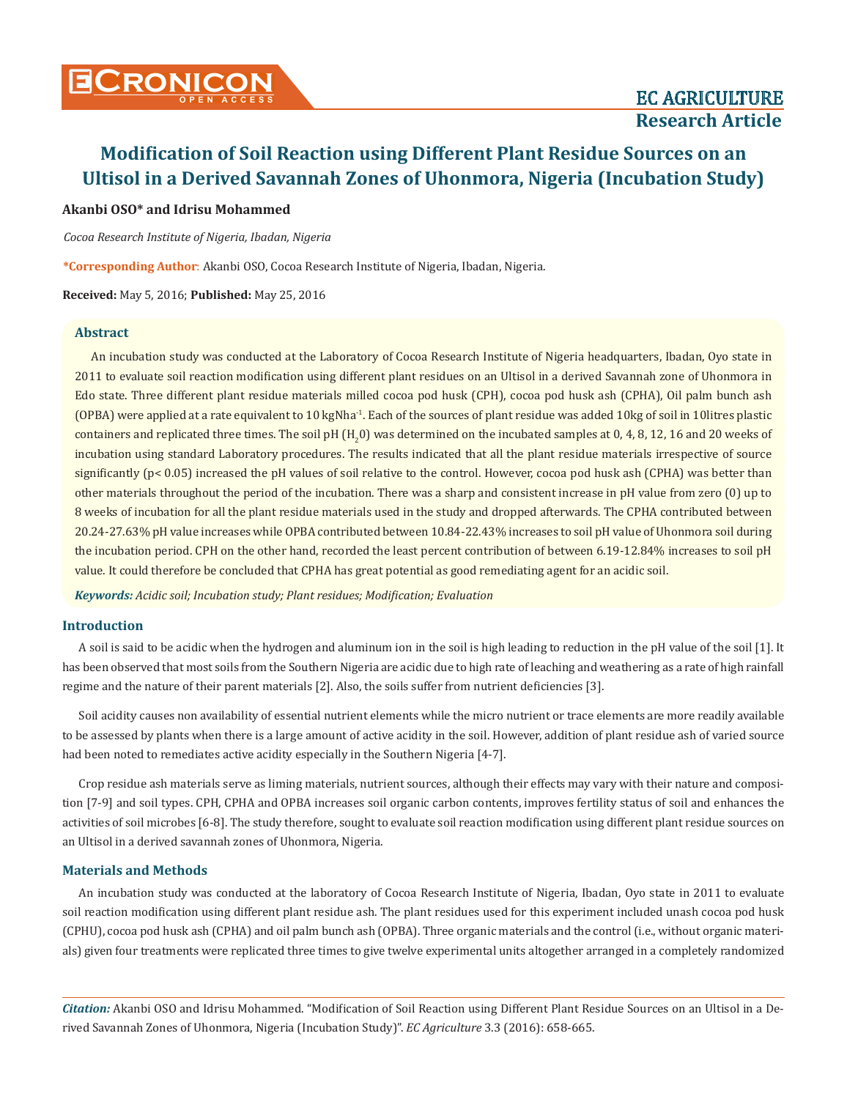## **Akanbi OSO\* and Idrisu Mohammed**

*Cocoa Research Institute of Nigeria, Ibadan, Nigeria*

**\*Corresponding Author**: Akanbi OSO, Cocoa Research Institute of Nigeria, Ibadan, Nigeria.

**Received:** May 5, 2016; **Published:** May 25, 2016

# **Abstract**

An incubation study was conducted at the Laboratory of Cocoa Research Institute of Nigeria headquarters, Ibadan, Oyo state in 2011 to evaluate soil reaction modification using different plant residues on an Ultisol in a derived Savannah zone of Uhonmora in Edo state. Three different plant residue materials milled cocoa pod husk (CPH), cocoa pod husk ash (CPHA), Oil palm bunch ash (OPBA) were applied at a rate equivalent to 10 kgNha-1. Each of the sources of plant residue was added 10kg of soil in 10litres plastic containers and replicated three times. The soil pH  $({\rm H_2O})$  was determined on the incubated samples at 0, 4, 8, 12, 16 and 20 weeks of incubation using standard Laboratory procedures. The results indicated that all the plant residue materials irrespective of source significantly ( $p < 0.05$ ) increased the pH values of soil relative to the control. However, cocoa pod husk ash (CPHA) was better than other materials throughout the period of the incubation. There was a sharp and consistent increase in pH value from zero (0) up to 8 weeks of incubation for all the plant residue materials used in the study and dropped afterwards. The CPHA contributed between 20.24-27.63% pH value increases while OPBA contributed between 10.84-22.43% increases to soil pH value of Uhonmora soil during the incubation period. CPH on the other hand, recorded the least percent contribution of between 6.19-12.84% increases to soil pH value. It could therefore be concluded that CPHA has great potential as good remediating agent for an acidic soil.

*Keywords: Acidic soil; Incubation study; Plant residues; Modification; Evaluation*

### **Introduction**

A soil is said to be acidic when the hydrogen and aluminum ion in the soil is high leading to reduction in the pH value of the soil [1]. It has been observed that most soils from the Southern Nigeria are acidic due to high rate of leaching and weathering as a rate of high rainfall regime and the nature of their parent materials [2]. Also, the soils suffer from nutrient deficiencies [3].

Soil acidity causes non availability of essential nutrient elements while the micro nutrient or trace elements are more readily available to be assessed by plants when there is a large amount of active acidity in the soil. However, addition of plant residue ash of varied source had been noted to remediates active acidity especially in the Southern Nigeria [4-7].

Crop residue ash materials serve as liming materials, nutrient sources, although their effects may vary with their nature and composition [7-9] and soil types. CPH, CPHA and OPBA increases soil organic carbon contents, improves fertility status of soil and enhances the activities of soil microbes [6-8]. The study therefore, sought to evaluate soil reaction modification using different plant residue sources on an Ultisol in a derived savannah zones of Uhonmora, Nigeria.

## **Materials and Methods**

An incubation study was conducted at the laboratory of Cocoa Research Institute of Nigeria, Ibadan, Oyo state in 2011 to evaluate soil reaction modification using different plant residue ash. The plant residues used for this experiment included unash cocoa pod husk (CPHU), cocoa pod husk ash (CPHA) and oil palm bunch ash (OPBA). Three organic materials and the control (i.e., without organic materials) given four treatments were replicated three times to give twelve experimental units altogether arranged in a completely randomized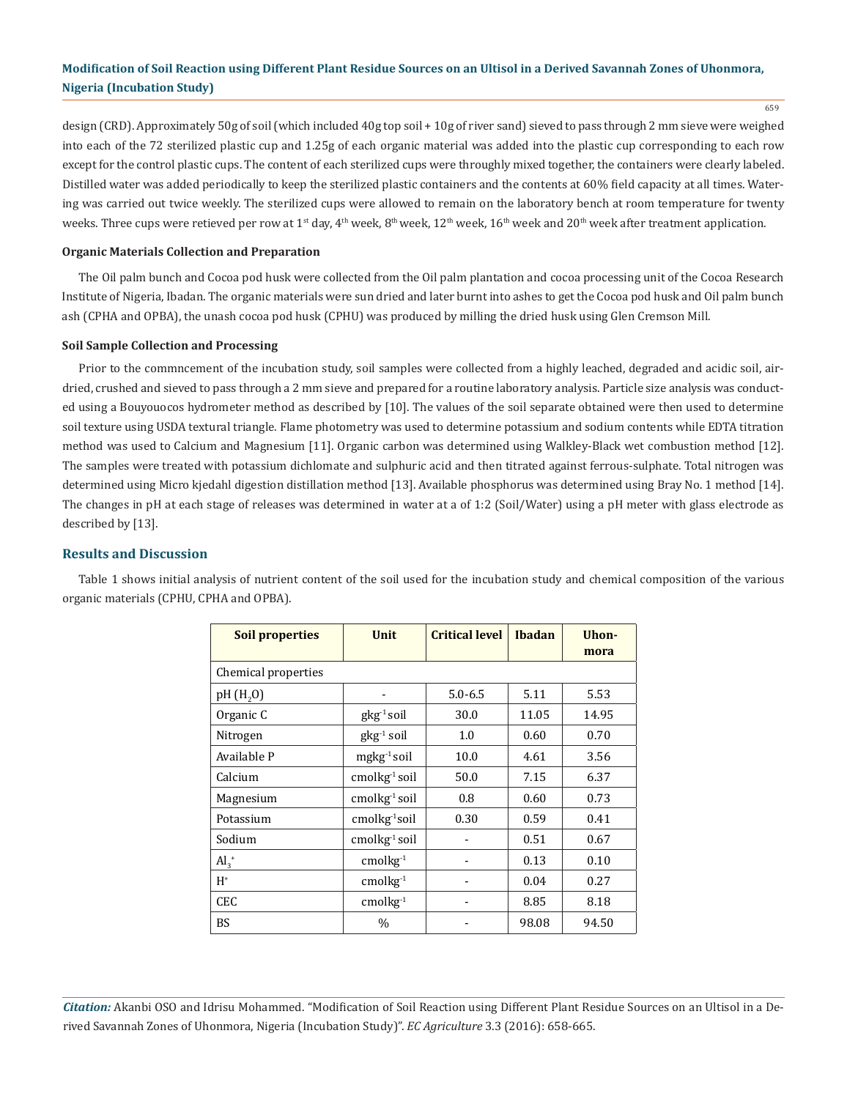design (CRD). Approximately 50g of soil (which included 40g top soil + 10g of river sand) sieved to pass through 2 mm sieve were weighed into each of the 72 sterilized plastic cup and 1.25g of each organic material was added into the plastic cup corresponding to each row except for the control plastic cups. The content of each sterilized cups were throughly mixed together, the containers were clearly labeled. Distilled water was added periodically to keep the sterilized plastic containers and the contents at 60% field capacity at all times. Watering was carried out twice weekly. The sterilized cups were allowed to remain on the laboratory bench at room temperature for twenty weeks. Three cups were retieved per row at 1<sup>st</sup> day, 4<sup>th</sup> week, 8<sup>th</sup> week, 12<sup>th</sup> week, 16<sup>th</sup> week and 20<sup>th</sup> week after treatment application.

#### **Organic Materials Collection and Preparation**

The Oil palm bunch and Cocoa pod husk were collected from the Oil palm plantation and cocoa processing unit of the Cocoa Research Institute of Nigeria, Ibadan. The organic materials were sun dried and later burnt into ashes to get the Cocoa pod husk and Oil palm bunch ash (CPHA and OPBA), the unash cocoa pod husk (CPHU) was produced by milling the dried husk using Glen Cremson Mill.

#### **Soil Sample Collection and Processing**

Prior to the commncement of the incubation study, soil samples were collected from a highly leached, degraded and acidic soil, airdried, crushed and sieved to pass through a 2 mm sieve and prepared for a routine laboratory analysis. Particle size analysis was conducted using a Bouyouocos hydrometer method as described by [10]. The values of the soil separate obtained were then used to determine soil texture using USDA textural triangle. Flame photometry was used to determine potassium and sodium contents while EDTA titration method was used to Calcium and Magnesium [11]. Organic carbon was determined using Walkley-Black wet combustion method [12]. The samples were treated with potassium dichlomate and sulphuric acid and then titrated against ferrous-sulphate. Total nitrogen was determined using Micro kjedahl digestion distillation method [13]. Available phosphorus was determined using Bray No. 1 method [14]. The changes in pH at each stage of releases was determined in water at a of 1:2 (Soil/Water) using a pH meter with glass electrode as described by [13].

#### **Results and Discussion**

| <b>Soil properties</b>         | Unit                       | <b>Critical level</b> | <b>Ibadan</b> | Uhon-<br>mora |  |  |  |
|--------------------------------|----------------------------|-----------------------|---------------|---------------|--|--|--|
| Chemical properties            |                            |                       |               |               |  |  |  |
| pH (H <sub>2</sub> O)          |                            | $5.0 - 6.5$           | 5.11          | 5.53          |  |  |  |
| Organic C                      | $gkg^{-1}$ soil            | 30.0                  | 11.05         | 14.95         |  |  |  |
| Nitrogen                       | $gkg^{-1}$ soil            | 1.0                   | 0.60          | 0.70          |  |  |  |
| Available P                    | $m$ gkg <sup>-1</sup> soil | 10.0                  | 4.61          | 3.56          |  |  |  |
| Calcium                        | $cmolkg-1$ soil            | 50.0                  | 7.15          | 6.37          |  |  |  |
| Magnesium                      | $cmolkg-1$ soil            | 0.8                   | 0.60          | 0.73          |  |  |  |
| Potassium                      | $cmolkg-1$ soil            | 0.30                  | 0.59          | 0.41          |  |  |  |
| Sodium                         | $cmolkg-1$ soil            |                       | 0.51          | 0.67          |  |  |  |
| $\mathrm{Al}_{3}$ <sup>+</sup> | $cmolkg-1$                 |                       | 0.13          | 0.10          |  |  |  |
| $H^*$                          | $cmolkg-1$                 |                       | 0.04          | 0.27          |  |  |  |
| <b>CEC</b>                     | $cmolkg-1$                 |                       | 8.85          | 8.18          |  |  |  |
| <b>BS</b>                      | $\frac{0}{0}$              |                       | 98.08         | 94.50         |  |  |  |

Table 1 shows initial analysis of nutrient content of the soil used for the incubation study and chemical composition of the various organic materials (CPHU, CPHA and OPBA).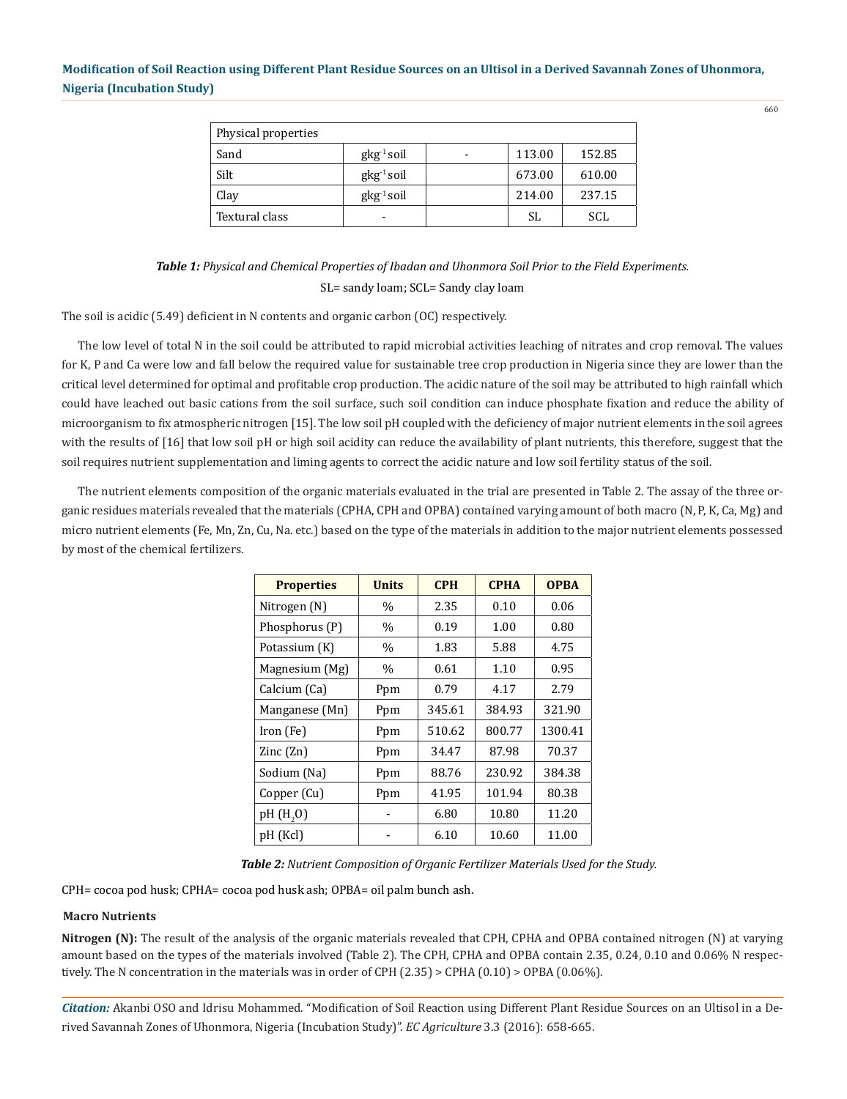| Physical properties |                 |  |        |        |  |  |
|---------------------|-----------------|--|--------|--------|--|--|
| Sand                | $gkg^{-1}$ soil |  | 113.00 | 152.85 |  |  |
| Silt                | $gkg^{-1}$ soil |  | 673.00 | 610.00 |  |  |
| Clay                | $gkg^{-1}$ soil |  | 214.00 | 237.15 |  |  |
| Textural class      | -               |  | SL     | SCL    |  |  |

| <b>Table 1:</b> Physical and Chemical Properties of Ibadan and Uhonmora Soil Prior to the Field Experiments. |
|--------------------------------------------------------------------------------------------------------------|
| SL= sandy loam; SCL= Sandy clay loam                                                                         |

The soil is acidic (5.49) deficient in N contents and organic carbon (OC) respectively.

The low level of total N in the soil could be attributed to rapid microbial activities leaching of nitrates and crop removal. The values for K, P and Ca were low and fall below the required value for sustainable tree crop production in Nigeria since they are lower than the critical level determined for optimal and profitable crop production. The acidic nature of the soil may be attributed to high rainfall which could have leached out basic cations from the soil surface, such soil condition can induce phosphate fixation and reduce the ability of microorganism to fix atmospheric nitrogen [15]. The low soil pH coupled with the deficiency of major nutrient elements in the soil agrees with the results of [16] that low soil pH or high soil acidity can reduce the availability of plant nutrients, this therefore, suggest that the soil requires nutrient supplementation and liming agents to correct the acidic nature and low soil fertility status of the soil.

The nutrient elements composition of the organic materials evaluated in the trial are presented in Table 2. The assay of the three organic residues materials revealed that the materials (CPHA, CPH and OPBA) contained varying amount of both macro (N, P, K, Ca, Mg) and micro nutrient elements (Fe, Mn, Zn, Cu, Na. etc.) based on the type of the materials in addition to the major nutrient elements possessed by most of the chemical fertilizers.

| <b>Properties</b>        | <b>Units</b>  | <b>CPH</b> | <b>CPHA</b> | <b>OPBA</b> |
|--------------------------|---------------|------------|-------------|-------------|
| Nitrogen (N)             | $\%$          | 2.35       | 0.10        | 0.06        |
| Phosphorus (P)           | $\frac{0}{0}$ | 0.19       | 1.00        | 0.80        |
| Potassium (K)            | $\%$          | 1.83       | 5.88        | 4.75        |
| Magnesium (Mg)           | $\%$          | 0.61       | 1.10        | 0.95        |
| Calcium (Ca)             | Ppm           | 0.79       | 4.17        | 2.79        |
| Manganese (Mn)           | Ppm           | 345.61     | 384.93      | 321.90      |
| Iron (Fe)                | Ppm           | 510.62     | 800.77      | 1300.41     |
| $\text{Zinc}(\text{Zn})$ | Ppm           | 34.47      | 87.98       | 70.37       |
| Sodium (Na)              | Ppm           | 88.76      | 230.92      | 384.38      |
| Copper (Cu)              | Ppm           | 41.95      | 101.94      | 80.38       |
| pH (H <sub>2</sub> O)    |               | 6.80       | 10.80       | 11.20       |
| pH (Kcl)                 |               | 6.10       | 10.60       | 11.00       |

*Table 2: Nutrient Composition of Organic Fertilizer Materials Used for the Study.*

CPH= cocoa pod husk; CPHA= cocoa pod husk ash; OPBA= oil palm bunch ash.

## **Macro Nutrients**

**Nitrogen (N):** The result of the analysis of the organic materials revealed that CPH, CPHA and OPBA contained nitrogen (N) at varying amount based on the types of the materials involved (Table 2). The CPH, CPHA and OPBA contain 2.35, 0.24, 0.10 and 0.06% N respectively. The N concentration in the materials was in order of CPH (2.35) > CPHA (0.10) > OPBA (0.06%).

*Citation:* Akanbi OSO and Idrisu Mohammed. "Modification of Soil Reaction using Different Plant Residue Sources on an Ultisol in a Derived Savannah Zones of Uhonmora, Nigeria (Incubation Study)". *EC Agriculture* 3.3 (2016): 658-665.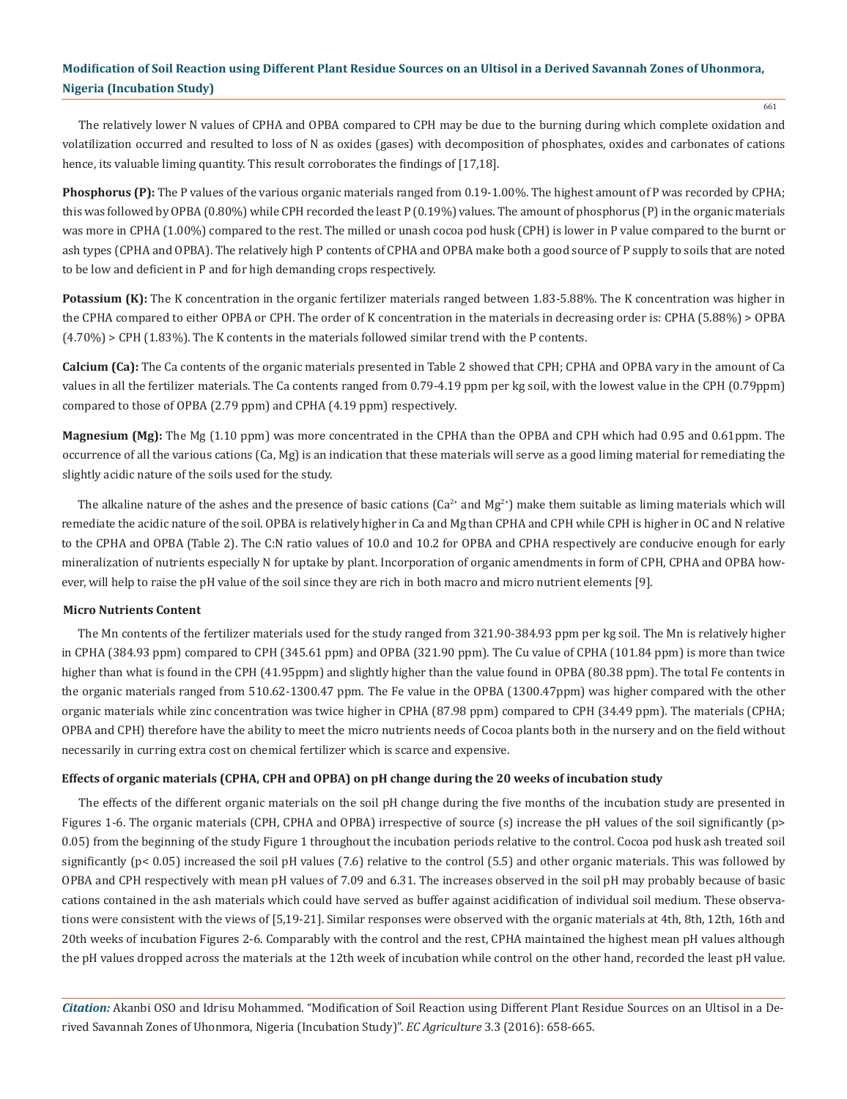The relatively lower N values of CPHA and OPBA compared to CPH may be due to the burning during which complete oxidation and volatilization occurred and resulted to loss of N as oxides (gases) with decomposition of phosphates, oxides and carbonates of cations hence, its valuable liming quantity. This result corroborates the findings of [17,18].

**Phosphorus (P):** The P values of the various organic materials ranged from 0.19-1.00%. The highest amount of P was recorded by CPHA; this was followed by OPBA (0.80%) while CPH recorded the least P (0.19%) values. The amount of phosphorus (P) in the organic materials was more in CPHA (1.00%) compared to the rest. The milled or unash cocoa pod husk (CPH) is lower in P value compared to the burnt or ash types (CPHA and OPBA). The relatively high P contents of CPHA and OPBA make both a good source of P supply to soils that are noted to be low and deficient in P and for high demanding crops respectively.

**Potassium (K):** The K concentration in the organic fertilizer materials ranged between 1.83-5.88%. The K concentration was higher in the CPHA compared to either OPBA or CPH. The order of K concentration in the materials in decreasing order is: CPHA (5.88%) > OPBA (4.70%) > CPH (1.83%). The K contents in the materials followed similar trend with the P contents.

**Calcium (Ca):** The Ca contents of the organic materials presented in Table 2 showed that CPH; CPHA and OPBA vary in the amount of Ca values in all the fertilizer materials. The Ca contents ranged from 0.79-4.19 ppm per kg soil, with the lowest value in the CPH (0.79ppm) compared to those of OPBA (2.79 ppm) and CPHA (4.19 ppm) respectively.

**Magnesium (Mg):** The Mg (1.10 ppm) was more concentrated in the CPHA than the OPBA and CPH which had 0.95 and 0.61ppm. The occurrence of all the various cations (Ca, Mg) is an indication that these materials will serve as a good liming material for remediating the slightly acidic nature of the soils used for the study.

The alkaline nature of the ashes and the presence of basic cations  $(Ca^{2+}$  and  $Mg^{2+})$  make them suitable as liming materials which will remediate the acidic nature of the soil. OPBA is relatively higher in Ca and Mg than CPHA and CPH while CPH is higher in OC and N relative to the CPHA and OPBA (Table 2). The C:N ratio values of 10.0 and 10.2 for OPBA and CPHA respectively are conducive enough for early mineralization of nutrients especially N for uptake by plant. Incorporation of organic amendments in form of CPH, CPHA and OPBA however, will help to raise the pH value of the soil since they are rich in both macro and micro nutrient elements [9].

#### **Micro Nutrients Content**

The Mn contents of the fertilizer materials used for the study ranged from 321.90-384.93 ppm per kg soil. The Mn is relatively higher in CPHA (384.93 ppm) compared to CPH (345.61 ppm) and OPBA (321.90 ppm). The Cu value of CPHA (101.84 ppm) is more than twice higher than what is found in the CPH (41.95ppm) and slightly higher than the value found in OPBA (80.38 ppm). The total Fe contents in the organic materials ranged from 510.62-1300.47 ppm. The Fe value in the OPBA (1300.47ppm) was higher compared with the other organic materials while zinc concentration was twice higher in CPHA (87.98 ppm) compared to CPH (34.49 ppm). The materials (CPHA; OPBA and CPH) therefore have the ability to meet the micro nutrients needs of Cocoa plants both in the nursery and on the field without necessarily in curring extra cost on chemical fertilizer which is scarce and expensive.

#### **Effects of organic materials (CPHA, CPH and OPBA) on pH change during the 20 weeks of incubation study**

The effects of the different organic materials on the soil pH change during the five months of the incubation study are presented in Figures 1-6. The organic materials (CPH, CPHA and OPBA) irrespective of source (s) increase the pH values of the soil significantly (p> 0.05) from the beginning of the study Figure 1 throughout the incubation periods relative to the control. Cocoa pod husk ash treated soil significantly (p< 0.05) increased the soil pH values (7.6) relative to the control (5.5) and other organic materials. This was followed by OPBA and CPH respectively with mean pH values of 7.09 and 6.31. The increases observed in the soil pH may probably because of basic cations contained in the ash materials which could have served as buffer against acidification of individual soil medium. These observations were consistent with the views of [5,19-21]. Similar responses were observed with the organic materials at 4th, 8th, 12th, 16th and 20th weeks of incubation Figures 2-6. Comparably with the control and the rest, CPHA maintained the highest mean pH values although the pH values dropped across the materials at the 12th week of incubation while control on the other hand, recorded the least pH value.

*Citation:* Akanbi OSO and Idrisu Mohammed. "Modification of Soil Reaction using Different Plant Residue Sources on an Ultisol in a Derived Savannah Zones of Uhonmora, Nigeria (Incubation Study)". *EC Agriculture* 3.3 (2016): 658-665.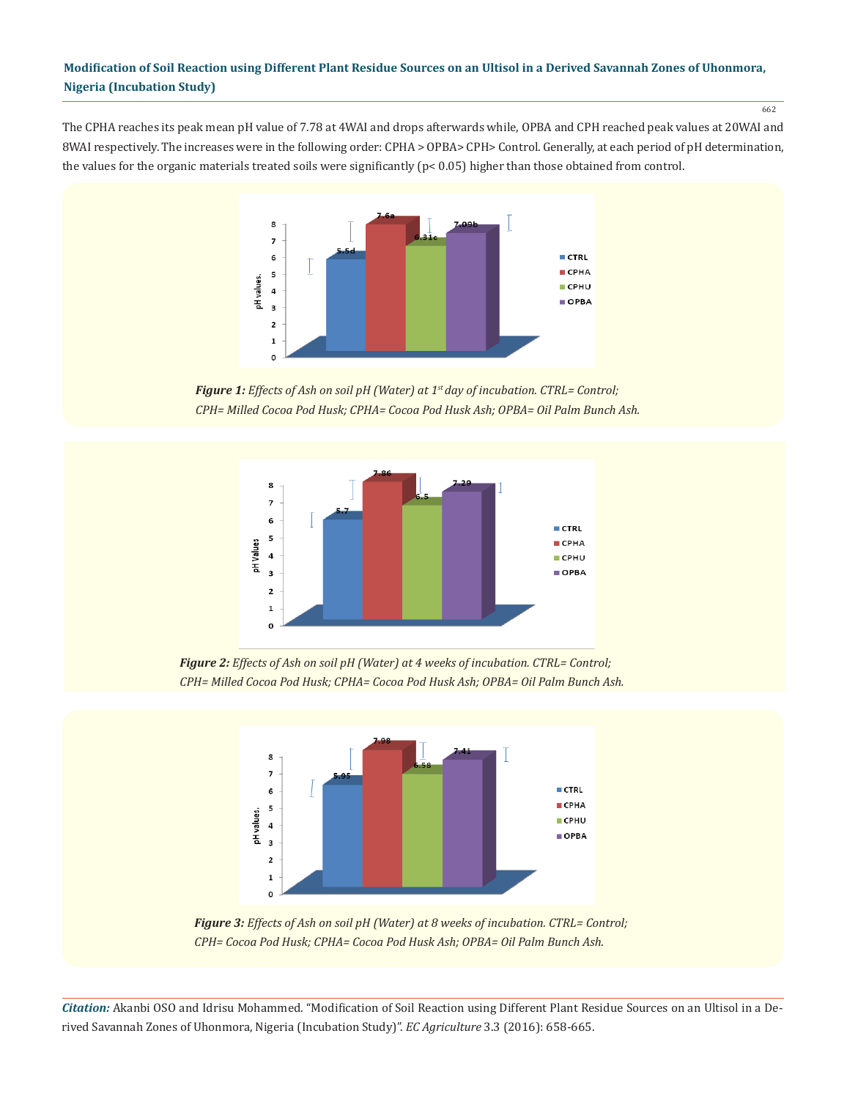662

The CPHA reaches its peak mean pH value of 7.78 at 4WAI and drops afterwards while, OPBA and CPH reached peak values at 20WAI and 8WAI respectively. The increases were in the following order: CPHA > OPBA> CPH> Control. Generally, at each period of pH determination, the values for the organic materials treated soils were significantly  $(p < 0.05)$  higher than those obtained from control.



*Figure 1: Effects of Ash on soil pH (Water) at 1st day of incubation. CTRL= Control; CPH= Milled Cocoa Pod Husk; CPHA= Cocoa Pod Husk Ash; OPBA= Oil Palm Bunch Ash.*



*Figure 2: Effects of Ash on soil pH (Water) at 4 weeks of incubation. CTRL= Control; CPH= Milled Cocoa Pod Husk; CPHA= Cocoa Pod Husk Ash; OPBA= Oil Palm Bunch Ash.*



*Figure 3: Effects of Ash on soil pH (Water) at 8 weeks of incubation. CTRL= Control; CPH= Cocoa Pod Husk; CPHA= Cocoa Pod Husk Ash; OPBA= Oil Palm Bunch Ash.*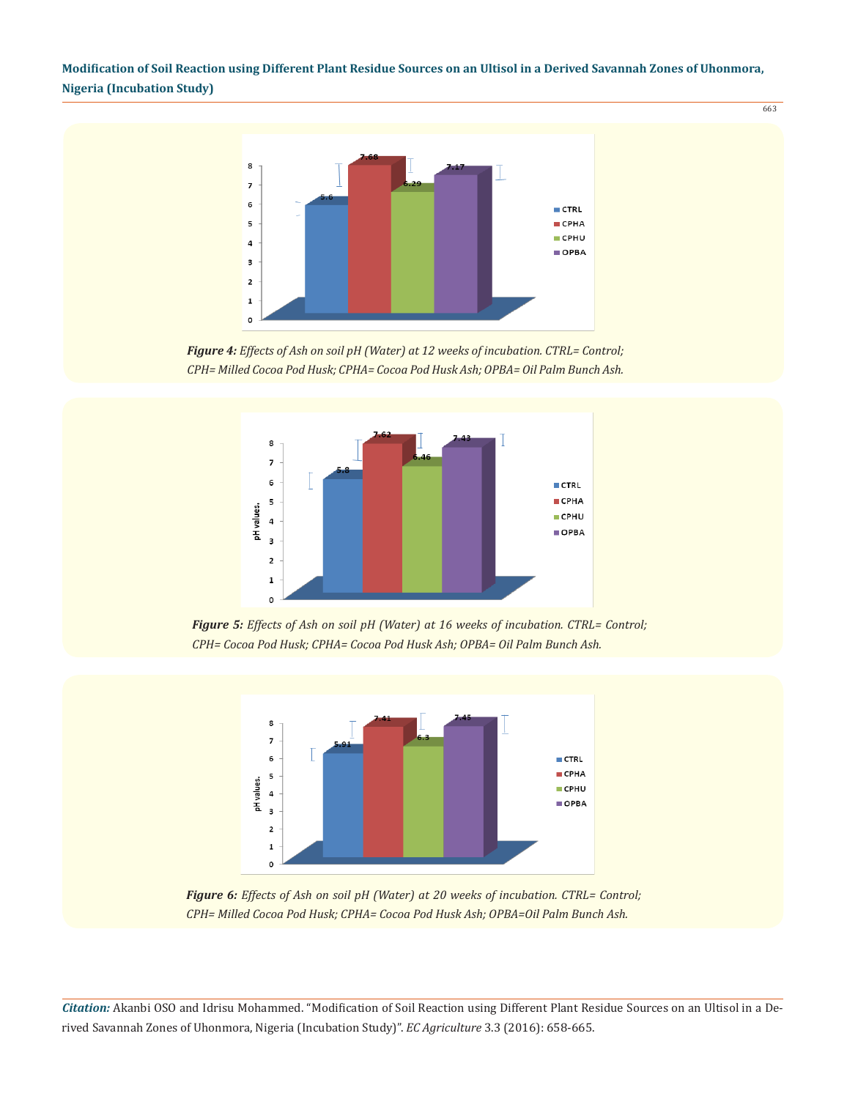663



*Figure 4: Effects of Ash on soil pH (Water) at 12 weeks of incubation. CTRL= Control; CPH= Milled Cocoa Pod Husk; CPHA= Cocoa Pod Husk Ash; OPBA= Oil Palm Bunch Ash.*



*Figure 5: Effects of Ash on soil pH (Water) at 16 weeks of incubation. CTRL= Control; CPH= Cocoa Pod Husk; CPHA= Cocoa Pod Husk Ash; OPBA= Oil Palm Bunch Ash.*



*Figure 6: Effects of Ash on soil pH (Water) at 20 weeks of incubation. CTRL= Control; CPH= Milled Cocoa Pod Husk; CPHA= Cocoa Pod Husk Ash; OPBA=Oil Palm Bunch Ash.*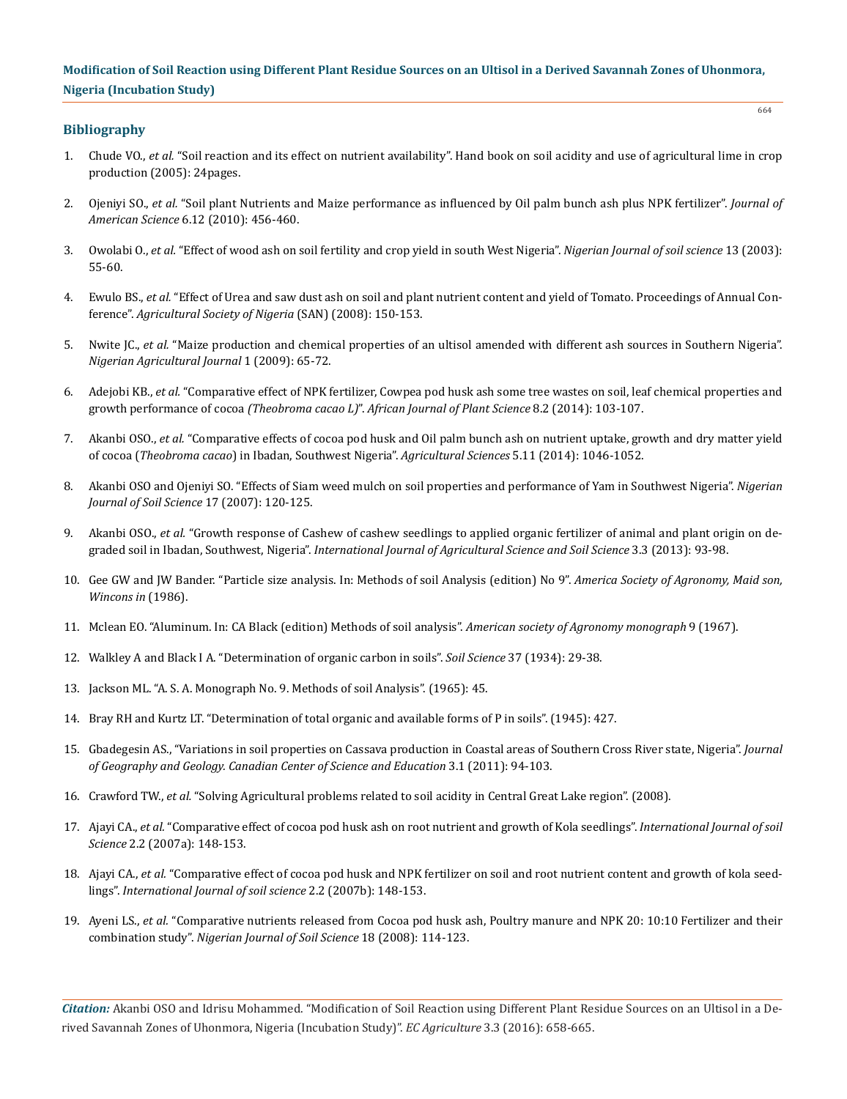# **Bibliography**

- 1. Chude VO., *et al.* "Soil reaction and its effect on nutrient availability". Hand book on soil acidity and use of agricultural lime in crop production (2005): 24pages.
- 2. Ojeniyi SO., *et al.* "Soil plant Nutrients and Maize performance as influenced by Oil palm bunch ash plus NPK fertilizer". *Journal of American Science* 6.12 (2010): 456-460.
- 3. Owolabi O., *et al.* "Effect of wood ash on soil fertility and crop yield in south West Nigeria". *Nigerian Journal of soil science* 13 (2003): 55-60.
- 4. Ewulo BS., *et al.* "Effect of Urea and saw dust ash on soil and plant nutrient content and yield of Tomato. Proceedings of Annual Conference". *Agricultural Society of Nigeria* (SAN) (2008): 150-153.
- 5. Nwite JC., *et al.* "Maize production and chemical properties of an ultisol amended with different ash sources in Southern Nigeria". *Nigerian Agricultural Journal* 1 (2009): 65-72.
- 6. Adejobi KB., *et al.* "Comparative effect of NPK fertilizer, Cowpea pod husk ash some tree wastes on soil, leaf chemical properties and growth performance of cocoa *(Theobroma cacao L)*". *African Journal of Plant Science* 8.2 (2014): 103-107.
- 7. Akanbi OSO., *et al.* "Comparative effects of cocoa pod husk and Oil palm bunch ash on nutrient uptake, growth and dry matter yield of cocoa (*Theobroma cacao*) in Ibadan, Southwest Nigeria". *Agricultural Sciences* 5.11 (2014): 1046-1052.
- 8. Akanbi OSO and Ojeniyi SO. "Effects of Siam weed mulch on soil properties and performance of Yam in Southwest Nigeria". *Nigerian Journal of Soil Science* 17 (2007): 120-125.
- 9. Akanbi OSO., *et al.* "Growth response of Cashew of cashew seedlings to applied organic fertilizer of animal and plant origin on degraded soil in Ibadan, Southwest, Nigeria". *International Journal of Agricultural Science and Soil Science* 3.3 (2013): 93-98.
- 10. Gee GW and JW Bander. "Particle size analysis. In: Methods of soil Analysis (edition) No 9". *America Society of Agronomy, Maid son, Wincons in* (1986).
- 11. Mclean EO. "Aluminum. In: CA Black (edition) Methods of soil analysis". *American society of Agronomy monograph* 9 (1967).
- 12. Walkley A and Black I A. "Determination of organic carbon in soils". *Soil Science* 37 (1934): 29-38.
- 13. Jackson ML. "A. S. A. Monograph No. 9. Methods of soil Analysis". (1965): 45.
- 14. Bray RH and Kurtz LT. "Determination of total organic and available forms of P in soils". (1945): 427.
- 15. Gbadegesin AS., "Variations in soil properties on Cassava production in Coastal areas of Southern Cross River state, Nigeria". *Journal of Geography and Geology. Canadian Center of Science and Education* 3.1 (2011): 94-103.
- 16. Crawford TW., *et al.* "Solving Agricultural problems related to soil acidity in Central Great Lake region". (2008).
- 17. Ajayi CA., *et al.* "Comparative effect of cocoa pod husk ash on root nutrient and growth of Kola seedlings". *International Journal of soil Science* 2.2 (2007a): 148-153.
- 18. Ajayi CA., *et al.* "Comparative effect of cocoa pod husk and NPK fertilizer on soil and root nutrient content and growth of kola seedlings". *International Journal of soil science* 2.2 (2007b): 148-153.
- 19. Ayeni LS., *et al.* "Comparative nutrients released from Cocoa pod husk ash, Poultry manure and NPK 20: 10:10 Fertilizer and their combination study". *Nigerian Journal of Soil Science* 18 (2008): 114-123.

*Citation:* Akanbi OSO and Idrisu Mohammed. "Modification of Soil Reaction using Different Plant Residue Sources on an Ultisol in a Derived Savannah Zones of Uhonmora, Nigeria (Incubation Study)". *EC Agriculture* 3.3 (2016): 658-665.